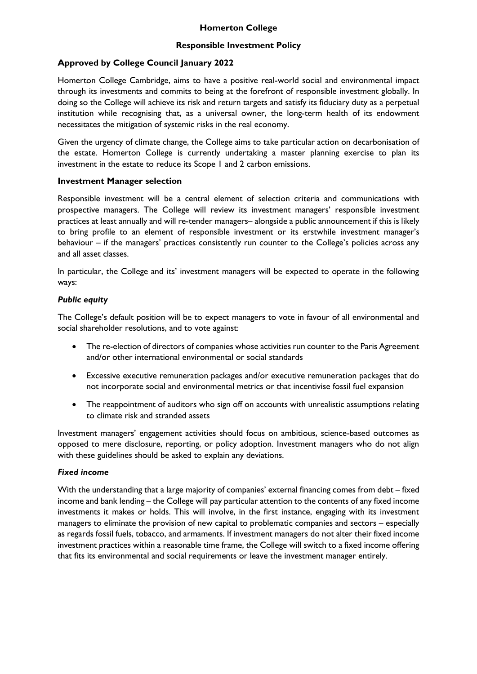## **Responsible Investment Policy**

# **Approved by College Council January 2022**

Homerton College Cambridge, aims to have a positive real-world social and environmental impact through its investments and commits to being at the forefront of responsible investment globally. In doing so the College will achieve its risk and return targets and satisfy its fiduciary duty as a perpetual institution while recognising that, as a universal owner, the long-term health of its endowment necessitates the mitigation of systemic risks in the real economy.

Given the urgency of climate change, the College aims to take particular action on decarbonisation of the estate. Homerton College is currently undertaking a master planning exercise to plan its investment in the estate to reduce its Scope 1 and 2 carbon emissions.

### **Investment Manager selection**

Responsible investment will be a central element of selection criteria and communications with prospective managers. The College will review its investment managers' responsible investment practices at least annually and will re-tender managers– alongside a public announcement if this is likely to bring profile to an element of responsible investment or its erstwhile investment manager's behaviour – if the managers' practices consistently run counter to the College's policies across any and all asset classes.

In particular, the College and its' investment managers will be expected to operate in the following ways:

## *Public equity*

The College's default position will be to expect managers to vote in favour of all environmental and social shareholder resolutions, and to vote against:

- The re-election of directors of companies whose activities run counter to the Paris Agreement and/or other international environmental or social standards
- Excessive executive remuneration packages and/or executive remuneration packages that do not incorporate social and environmental metrics or that incentivise fossil fuel expansion
- The reappointment of auditors who sign off on accounts with unrealistic assumptions relating to climate risk and stranded assets

Investment managers' engagement activities should focus on ambitious, science-based outcomes as opposed to mere disclosure, reporting, or policy adoption. Investment managers who do not align with these guidelines should be asked to explain any deviations.

## *Fixed income*

With the understanding that a large majority of companies' external financing comes from debt – fixed income and bank lending – the College will pay particular attention to the contents of any fixed income investments it makes or holds. This will involve, in the first instance, engaging with its investment managers to eliminate the provision of new capital to problematic companies and sectors – especially as regards fossil fuels, tobacco, and armaments. If investment managers do not alter their fixed income investment practices within a reasonable time frame, the College will switch to a fixed income offering that fits its environmental and social requirements or leave the investment manager entirely.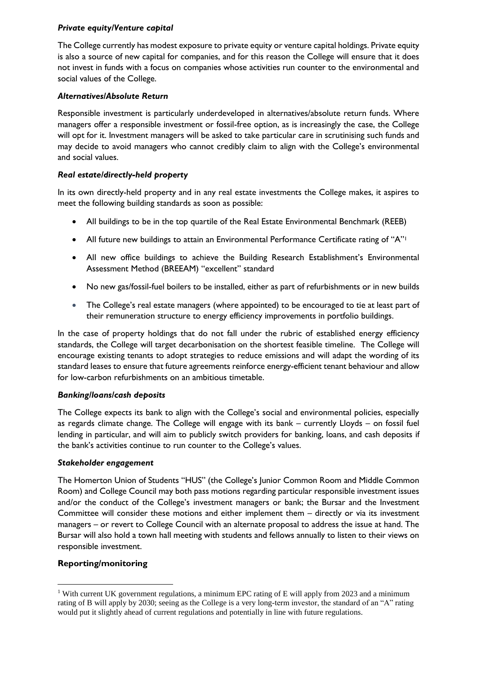## *Private equity/Venture capital*

The College currently has modest exposure to private equity or venture capital holdings. Private equity is also a source of new capital for companies, and for this reason the College will ensure that it does not invest in funds with a focus on companies whose activities run counter to the environmental and social values of the College.

### *Alternatives/Absolute Return*

Responsible investment is particularly underdeveloped in alternatives/absolute return funds. Where managers offer a responsible investment or fossil-free option, as is increasingly the case, the College will opt for it. Investment managers will be asked to take particular care in scrutinising such funds and may decide to avoid managers who cannot credibly claim to align with the College's environmental and social values.

### *Real estate/directly-held property*

In its own directly-held property and in any real estate investments the College makes, it aspires to meet the following building standards as soon as possible:

- All buildings to be in the top quartile of the Real Estate Environmental Benchmark (REEB)
- All future new buildings to attain an Environmental Performance Certificate rating of "A"<sup>1</sup>
- All new office buildings to achieve the Building Research Establishment's Environmental Assessment Method (BREEAM) "excellent" standard
- No new gas/fossil-fuel boilers to be installed, either as part of refurbishments or in new builds
- The College's real estate managers (where appointed) to be encouraged to tie at least part of their remuneration structure to energy efficiency improvements in portfolio buildings.

In the case of property holdings that do not fall under the rubric of established energy efficiency standards, the College will target decarbonisation on the shortest feasible timeline. The College will encourage existing tenants to adopt strategies to reduce emissions and will adapt the wording of its standard leases to ensure that future agreements reinforce energy-efficient tenant behaviour and allow for low-carbon refurbishments on an ambitious timetable.

#### *Banking/loans/cash deposits*

The College expects its bank to align with the College's social and environmental policies, especially as regards climate change. The College will engage with its bank – currently Lloyds – on fossil fuel lending in particular, and will aim to publicly switch providers for banking, loans, and cash deposits if the bank's activities continue to run counter to the College's values.

#### *Stakeholder engagement*

The Homerton Union of Students "HUS" (the College's Junior Common Room and Middle Common Room) and College Council may both pass motions regarding particular responsible investment issues and/or the conduct of the College's investment managers or bank; the Bursar and the Investment Committee will consider these motions and either implement them – directly or via its investment managers – or revert to College Council with an alternate proposal to address the issue at hand. The Bursar will also hold a town hall meeting with students and fellows annually to listen to their views on responsible investment.

#### **Reporting/monitoring**

 $\overline{a}$ 

<sup>&</sup>lt;sup>1</sup> With current UK government regulations, a minimum EPC rating of E will apply from 2023 and a minimum rating of B will apply by 2030; seeing as the College is a very long-term investor, the standard of an "A" rating would put it slightly ahead of current regulations and potentially in line with future regulations.